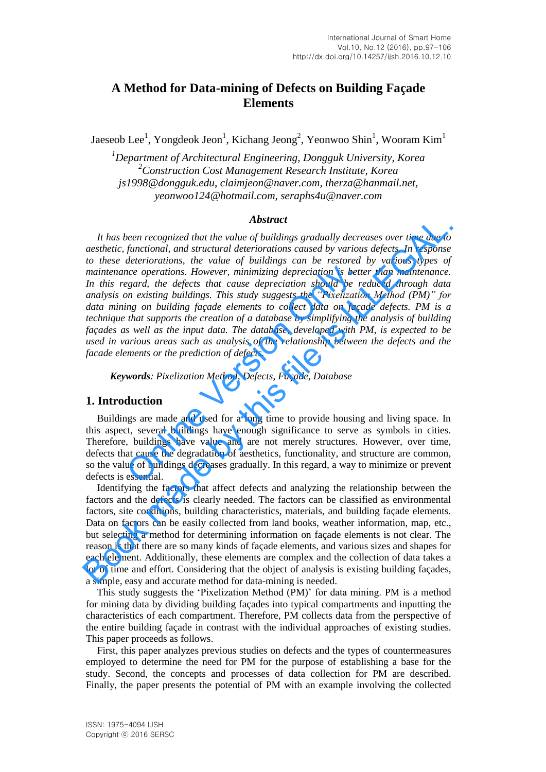## **A Method for Data-mining of Defects on Building Façade Elements**

Jaeseob Lee<sup>1</sup>, Yongdeok Jeon<sup>1</sup>, Kichang Jeong<sup>2</sup>, Yeonwoo Shin<sup>1</sup>, Wooram Kim<sup>1</sup>

*<sup>1</sup>Department of Architectural Engineering, Dongguk University, Korea <sup>2</sup>Construction Cost Management Research Institute, Korea js1998@dongguk.edu, claimjeon@naver.com, therza@hanmail.net, yeonwoo124@hotmail.com, seraphs4u@naver.com* 

#### *Abstract*

*It has been recognized that the value of buildings gradually decreases over time due to aesthetic, functional, and structural deteriorations caused by various defects. In response to these deteriorations, the value of buildings can be restored by various types of maintenance operations. However, minimizing depreciation is better than maintenance. In this regard, the defects that cause depreciation should be reduced through data analysis on existing buildings. This study suggests the "Pixelization Method (PM)" for data mining on building façade elements to collect data on façade defects. PM is a technique that supports the creation of a database by simplifying the analysis of building façades as well as the input data. The database, developed with PM, is expected to be used in various areas such as analysis of the relationship between the defects and the facade elements or the prediction of defects.*  nce operations. However, minimizing depreciation is better exard, the defects that cause depreciation should be represent and the metastring buildings. This study suggests the "Pixelization on building façade elements to c **Abstract**<br>**Abstract**<br>**Abstract**<br>**Abstract**<br>**Abstract**<br>**Abstract**<br>**Abstract**<br>**Abstract**<br>**Abstract**<br>**Abstract**<br>**Abstract**<br>**Abstract**<br>**Abstract exact by various defects. In response to these deteriorations, the value of buil** 

*Keywords: Pixelization Method, Defects, Façade, Database*

#### **1. Introduction**

Buildings are made and used for a long time to provide housing and living space. In this aspect, several buildings have enough significance to serve as symbols in cities. Therefore, buildings have value and are not merely structures. However, over time, defects that cause the degradation of aesthetics, functionality, and structure are common, so the value of buildings decreases gradually. In this regard, a way to minimize or prevent defects is essential.

Identifying the factors that affect defects and analyzing the relationship between the factors and the defects is clearly needed. The factors can be classified as environmental factors, site conditions, building characteristics, materials, and building façade elements. Data on factors can be easily collected from land books, weather information, map, etc., but selecting a method for determining information on façade elements is not clear. The reason is that there are so many kinds of façade elements, and various sizes and shapes for each element. Additionally, these elements are complex and the collection of data takes a lot of time and effort. Considering that the object of analysis is existing building façades, a simple, easy and accurate method for data-mining is needed.

This study suggests the "Pixelization Method (PM)" for data mining. PM is a method for mining data by dividing building façades into typical compartments and inputting the characteristics of each compartment. Therefore, PM collects data from the perspective of the entire building façade in contrast with the individual approaches of existing studies. This paper proceeds as follows.

First, this paper analyzes previous studies on defects and the types of countermeasures employed to determine the need for PM for the purpose of establishing a base for the study. Second, the concepts and processes of data collection for PM are described. Finally, the paper presents the potential of PM with an example involving the collected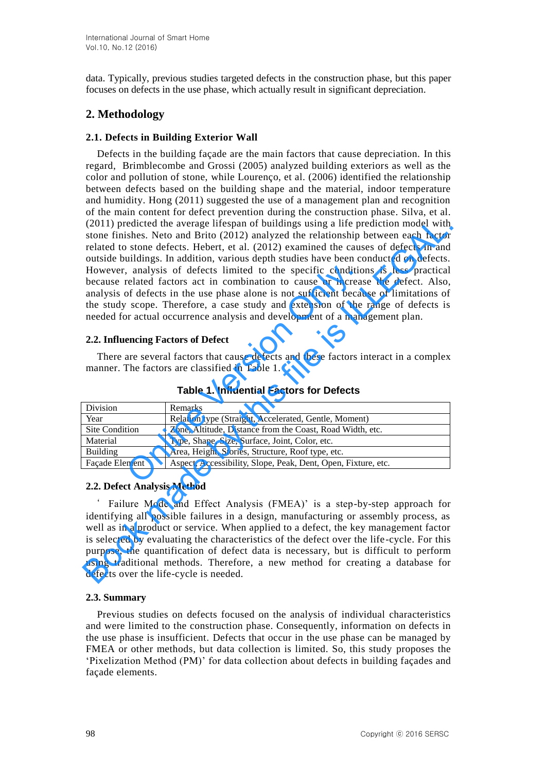data. Typically, previous studies targeted defects in the construction phase, but this paper focuses on defects in the use phase, which actually result in significant depreciation.

# **2. Methodology**

#### **2.1. Defects in Building Exterior Wall**

Defects in the building façade are the main factors that cause depreciation. In this regard, Brimblecombe and Grossi (2005) analyzed building exteriors as well as the color and pollution of stone, while Lourenço, et al. (2006) identified the relationship between defects based on the building shape and the material, indoor temperature and humidity. Hong (2011) suggested the use of a management plan and recognition of the main content for defect prevention during the construction phase. Silva, et al. (2011) predicted the average lifespan of buildings using a life prediction model with stone finishes. Neto and Brito (2012) analyzed the relationship between each factor related to stone defects. Hebert, et al. (2012) examined the causes of defects in and outside buildings. In addition, various depth studies have been conducted on defects. However, analysis of defects limited to the specific conditions is less practical because related factors act in combination to cause or increase the defect. Also, analysis of defects in the use phase alone is not sufficient because of limitations of the study scope. Therefore, a case study and extension of the range of defects is needed for actual occurrence analysis and development of a management plan. (2011) predicted the average lifespan of buildings using a life prediction model with<br>stone finishes. Neto and Brito (2012) analyzed the relationship between each factor<br>related to stone defects. Hebert, et al. (2012) exa

#### **2.2. Influencing Factors of Defect**

|                                    | However, analysis of defects limited to the specific conditions is less practical<br>because related factors act in combination to cause or increase the defect. Also,<br>analysis of defects in the use phase alone is not sufficient because of limitations of<br>the study scope. Therefore, a case study and extension of the range of defects is<br>needed for actual occurrence analysis and development of a management plan. |  |
|------------------------------------|--------------------------------------------------------------------------------------------------------------------------------------------------------------------------------------------------------------------------------------------------------------------------------------------------------------------------------------------------------------------------------------------------------------------------------------|--|
| 2.2. Influencing Factors of Defect |                                                                                                                                                                                                                                                                                                                                                                                                                                      |  |
|                                    | There are several factors that cause defects and these factors interact in a complex<br>manner. The factors are classified in Table 1.<br><b>Table 1. Influential Factors for Defects</b>                                                                                                                                                                                                                                            |  |
| Division                           | Remarks                                                                                                                                                                                                                                                                                                                                                                                                                              |  |
| Year                               | Relation type (Straight, Accelerated, Gentle, Moment)                                                                                                                                                                                                                                                                                                                                                                                |  |
| <b>Site Condition</b>              | Zone, Altitude, Distance from the Coast, Road Width, etc.                                                                                                                                                                                                                                                                                                                                                                            |  |
| Material                           | Type, Shape, Size, Surface, Joint, Color, etc.                                                                                                                                                                                                                                                                                                                                                                                       |  |
| <b>Building</b>                    |                                                                                                                                                                                                                                                                                                                                                                                                                                      |  |
|                                    | Area, Height, Stories, Structure, Roof type, etc.                                                                                                                                                                                                                                                                                                                                                                                    |  |
| Façade Element                     | Aspect, Accessibility, Slope, Peak, Dent, Open, Fixture, etc.                                                                                                                                                                                                                                                                                                                                                                        |  |
|                                    |                                                                                                                                                                                                                                                                                                                                                                                                                                      |  |

**Table 1. Influential Factors for Defects** 

## **2.2. Defect Analysis Method**

Failure Mode and Effect Analysis (FMEA)' is a step-by-step approach for identifying all possible failures in a design, manufacturing or assembly process, as well as in a product or service. When applied to a defect, the key management factor is selected by evaluating the characteristics of the defect over the life-cycle. For this purpose, the quantification of defect data is necessary, but is difficult to perform using traditional methods. Therefore, a new method for creating a database for defects over the life-cycle is needed.

## **2.3. Summary**

Previous studies on defects focused on the analysis of individual characteristics and were limited to the construction phase. Consequently, information on defects in the use phase is insufficient. Defects that occur in the use phase can be managed by FMEA or other methods, but data collection is limited. So, this study proposes the "Pixelization Method (PM)" for data collection about defects in building façades and façade elements.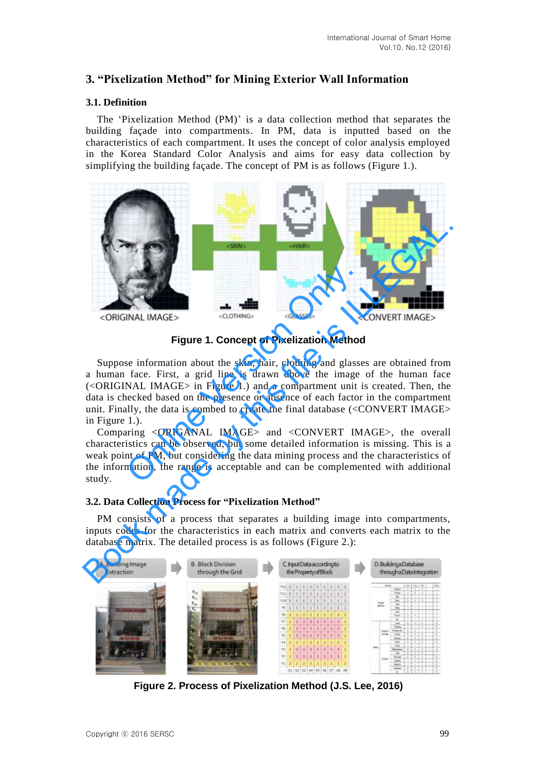## **3. "Pixelization Method" for Mining Exterior Wall Information**

#### **3.1. Definition**

The "Pixelization Method (PM)" is a data collection method that separates the building façade into compartments. In PM, data is inputted based on the characteristics of each compartment. It uses the concept of color analysis employed in the Korea Standard Color Analysis and aims for easy data collection by simplifying the building façade. The concept of PM is as follows (Figure 1.).



**Figure 1. Concept of Pixelization Method** 

Suppose information about the skin, hair, clothing and glasses are obtained from a human face. First, a grid line is drawn above the image of the human face (<ORIGINAL IMAGE> in Figure 1.) and a compartment unit is created. Then, the data is checked based on the presence or absence of each factor in the compartment unit. Finally, the data is combed to create the final database (<CONVERT IMAGE> in Figure 1.). **CLOTHING**<br> **CLOTHING**<br> **CLOTHING**<br> **CLOTHING**<br> **CLOTHING**<br> **CLOTHING**<br> **CLOTHING**<br> **CLOTHING**<br> **CLOTHING**<br> **CLOTHING**<br> **CCONSES**<br> **CCONS**<br> **CCONS**<br> **CCONS**<br> **CCONS**<br> **CCONS**<br> **CCONS**<br> **CCONS**<br> **CCONS**<br> **CCONS**<br> **CCONS**<br>

Comparing <ORIGANAL IMAGE> and <CONVERT IMAGE>, the overall characteristics can be observed, but some detailed information is missing. This is a weak point of PM, but considering the data mining process and the characteristics of the information, the range is acceptable and can be complemented with additional study.

## **3.2. Data Collection Process for "Pixelization Method"**

PM consists of a process that separates a building image into compartments, inputs codes for the characteristics in each matrix and converts each matrix to the database matrix. The detailed process is as follows (Figure 2.):



**Figure 2. Process of Pixelization Method (J.S. Lee, 2016)**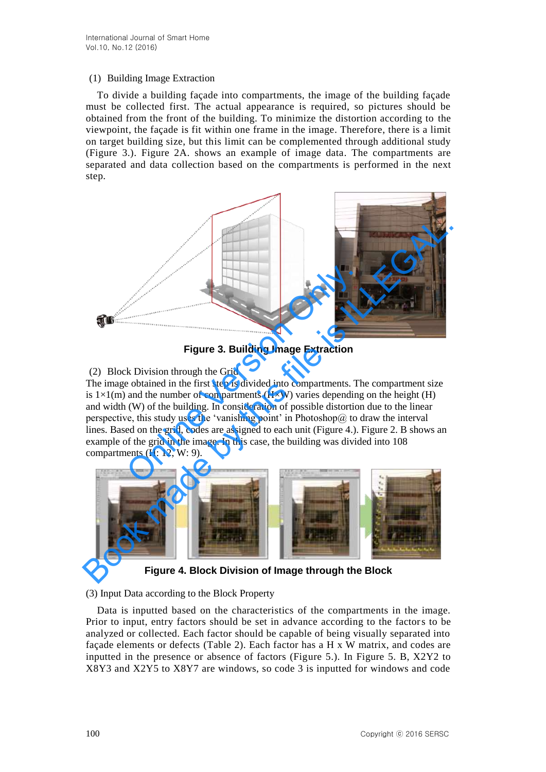#### (1) Building Image Extraction

To divide a building façade into compartments, the image of the building façade must be collected first. The actual appearance is required, so pictures should be obtained from the front of the building. To minimize the distortion according to the viewpoint, the façade is fit within one frame in the image. Therefore, there is a limit on target building size, but this limit can be complemented through additional study (Figure 3.). Figure 2A. shows an example of image data. The compartments are separated and data collection based on the compartments is performed in the next step.



**Figure 3. Building Image Extraction** 

## (2) Block Division through the Grid

The image obtained in the first step is divided into compartments. The compartment size is  $1\times1(m)$  and the number of compartments (H $\times$ W) varies depending on the height (H) and width (W) of the building. In consideration of possible distortion due to the linear perspective, this study uses the 'vanishing point' in Photoshop@ to draw the interval lines. Based on the grid, codes are assigned to each unit (Figure 4.). Figure 2. B shows an example of the grid in the image. In this case, the building was divided into 108 compartments (H: 12, W: 9). Figure 3. Building Image Extraction<br>
k Division through the Grid<br>
e obtained in the first step is divided into compartments. The and the number of compartments (H×W) varies depending<br>
(W) of the building. In consideration



**Figure 4. Block Division of Image through the Block** 

## (3) Input Data according to the Block Property

Data is inputted based on the characteristics of the compartments in the image. Prior to input, entry factors should be set in advance according to the factors to be analyzed or collected. Each factor should be capable of being visually separated into façade elements or defects (Table 2). Each factor has a H x W matrix, and codes are inputted in the presence or absence of factors (Figure 5.). In Figure 5. B, X2Y2 to X8Y3 and X2Y5 to X8Y7 are windows, so code 3 is inputted for windows and code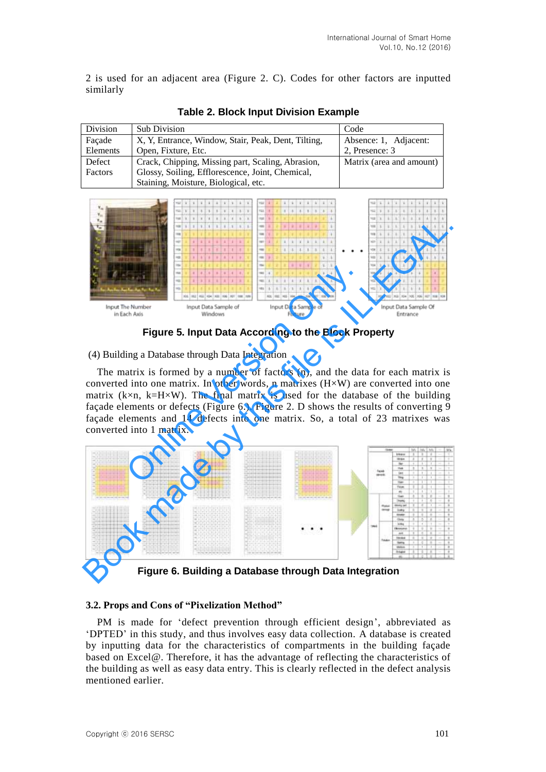2 is used for an adjacent area (Figure 2. C). Codes for other factors are inputted similarly

| Division | <b>Sub Division</b>                                 | Code                     |  |
|----------|-----------------------------------------------------|--------------------------|--|
| Facade   | X, Y, Entrance, Window, Stair, Peak, Dent, Tilting, | Absence: 1, Adjacent:    |  |
| Elements | Open, Fixture, Etc.                                 | 2, Presence: 3           |  |
| Defect   | Crack, Chipping, Missing part, Scaling, Abrasion,   | Matrix (area and amount) |  |
| Factors  | Glossy, Soiling, Efflorescence, Joint, Chemical,    |                          |  |
|          | Staining, Moisture, Biological, etc.                |                          |  |

**Table 2. Block Input Division Example** 



**Figure 5. Input Data According to the Block Property** 

(4) Building a Database through Data Integration

The matrix is formed by a number of factors (n), and the data for each matrix is converted into one matrix. In other words, n matrixes  $(H \times W)$  are converted into one matrix ( $k \times n$ ,  $k=H\times W$ ). The final matrix is used for the database of the building façade elements or defects (Figure 6.). Figure 2. D shows the results of converting 9 façade elements and 14 defects into one matrix. So, a total of 23 matrixes was converted into 1 matrix. Controlled Controlled Controlled Controlled Controlled Controlled Controlled Controlled Controlled Controlled Controlled Controlled Controlled Controlled Controlled Controlled Controlled Controlled Controlled Controlled Co



**Figure 6. Building a Database through Data Integration** 

## **3.2. Props and Cons of "Pixelization Method"**

PM is made for "defect prevention through efficient design", abbreviated as "DPTED" in this study, and thus involves easy data collection. A database is created by inputting data for the characteristics of compartments in the building façade based on Excel@. Therefore, it has the advantage of reflecting the characteristics of the building as well as easy data entry. This is clearly reflected in the defect analysis mentioned earlier.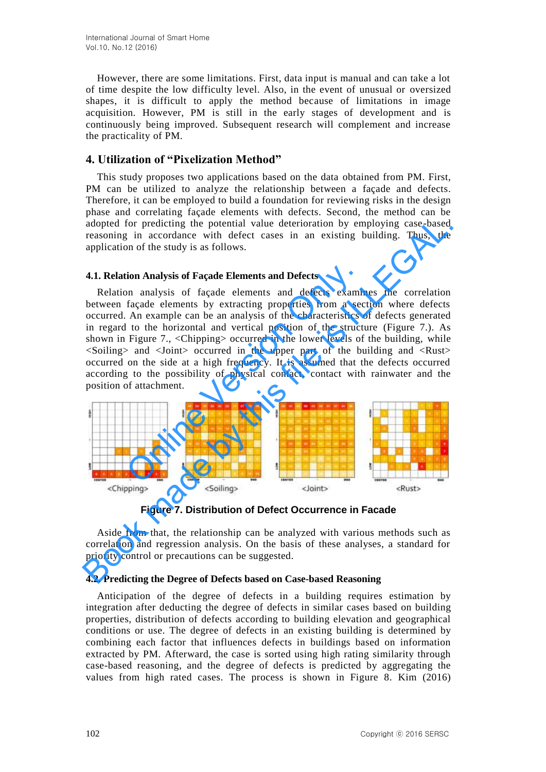However, there are some limitations. First, data input is manual and can take a lot of time despite the low difficulty level. Also, in the event of unusual or oversized shapes, it is difficult to apply the method because of limitations in image acquisition. However, PM is still in the early stages of development and is continuously being improved. Subsequent research will complement and increase the practicality of PM.

## **4. Utilization of "Pixelization Method"**

This study proposes two applications based on the data obtained from PM. First, PM can be utilized to analyze the relationship between a façade and defects. Therefore, it can be employed to build a foundation for reviewing risks in the design phase and correlating façade elements with defects. Second, the method can be adopted for predicting the potential value deterioration by employing case-based reasoning in accordance with defect cases in an existing building. Thus, the application of the study is as follows.

#### **4.1. Relation Analysis of Façade Elements and Defects**

Relation analysis of façade elements and defects examines the correlation between façade elements by extracting properties from a section where defects occurred. An example can be an analysis of the characteristics of defects generated in regard to the horizontal and vertical position of the structure (Figure 7.). As shown in Figure 7., <Chipping> occurred in the lower levels of the building, while <Soiling> and <Joint> occurred in the upper part of the building and <Rust> occurred on the side at a high frequency. It is assumed that the defects occurred according to the possibility of physical contact, contact with rainwater and the position of attachment. The mathematics of Façade Elements and Defects<br>on analysis of façade elements and defects examination and set of the characteristics of the characteristics of the characteristics of the characteristics of the characteristi adopted for predicting the potential value deterioration by employing case-based<br>reasoning in accordance with defect cases in an existing building. Thus, the<br>application of the study is as follows.<br>A.I. Relation analysis o



**Figure 7. Distribution of Defect Occurrence in Facade**

Aside from that, the relationship can be analyzed with various methods such as correlation and regression analysis. On the basis of these analyses, a standard for priority control or precautions can be suggested.

## **4.2. Predicting the Degree of Defects based on Case-based Reasoning**

Anticipation of the degree of defects in a building requires estimation by integration after deducting the degree of defects in similar cases based on building properties, distribution of defects according to building elevation and geographical conditions or use. The degree of defects in an existing building is determined by combining each factor that influences defects in buildings based on information extracted by PM. Afterward, the case is sorted using high rating similarity through case-based reasoning, and the degree of defects is predicted by aggregating the values from high rated cases. The process is shown in Figure 8. Kim (2016)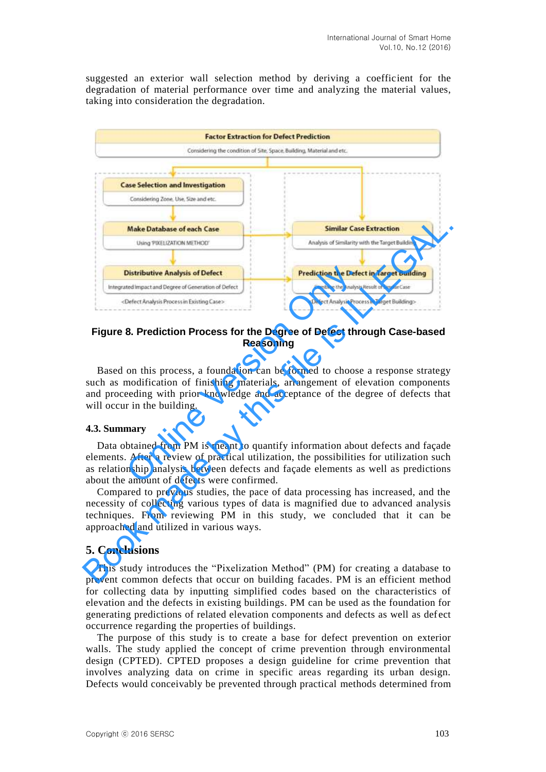suggested an exterior wall selection method by deriving a coefficient for the degradation of material performance over time and analyzing the material values, taking into consideration the degradation.



#### **Figure 8. Prediction Process for the Degree of Defect through Case-based Reasoning**

Based on this process, a foundation can be formed to choose a response strategy such as modification of finishing materials, arrangement of elevation components and proceeding with prior knowledge and acceptance of the degree of defects that will occur in the building.

#### **4.3. Summary**

Data obtained from PM is meant to quantify information about defects and façade elements. After a review of practical utilization, the possibilities for utilization such as relationship analysis between defects and façade elements as well as predictions about the amount of defects were confirmed.

Compared to previous studies, the pace of data processing has increased, and the necessity of collecting various types of data is magnified due to advanced analysis techniques. From reviewing PM in this study, we concluded that it can be approached and utilized in various ways.

#### **5. Conclusions**

This study introduces the "Pixelization Method" (PM) for creating a database to prevent common defects that occur on building facades. PM is an efficient method for collecting data by inputting simplified codes based on the characteristics of elevation and the defects in existing buildings. PM can be used as the foundation for generating predictions of related elevation components and defects as well as defect occurrence regarding the properties of buildings.

The purpose of this study is to create a base for defect prevention on exterior walls. The study applied the concept of crime prevention through environmental design (CPTED). CPTED proposes a design guideline for crime prevention that involves analyzing data on crime in specific areas regarding its urban design. Defects would conceivably be prevented through practical methods determined from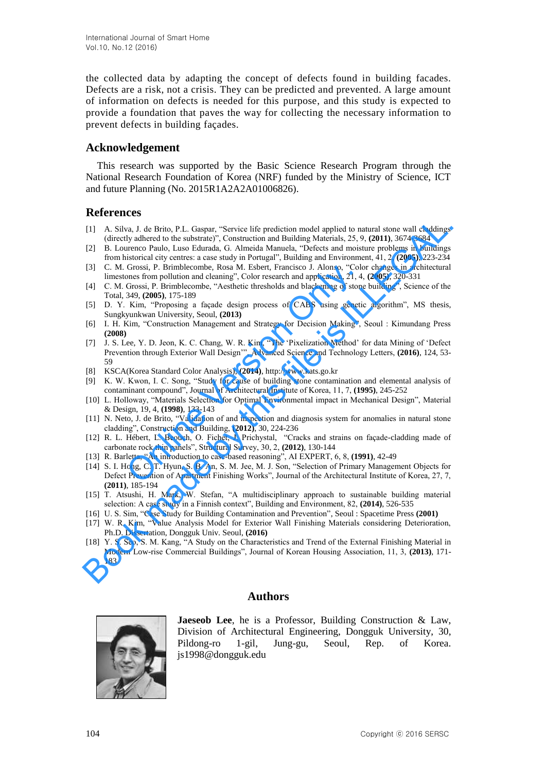the collected data by adapting the concept of defects found in building facades. Defects are a risk, not a crisis. They can be predicted and prevented. A large amount of information on defects is needed for this purpose, and this study is expected to provide a foundation that paves the way for collecting the necessary information to prevent defects in building façades.

#### **Acknowledgement**

This research was supported by the Basic Science Research Program through the National Research Foundation of Korea (NRF) funded by the Ministry of Science, ICT and future Planning (No. 2015R1A2A2A01006826).

## **References**

- [1] A. Silva, J. de Brito, P.L. Gaspar, "Service life prediction model applied to natural stone wall claddings (directly adhered to the substrate)", Construction and Building Materials, 25, 9, **(2011)**, 3674-3684
- [2] B. Lourenco Paulo, Luso Edurada, G. Almeida Manuela, "Defects and moisture problems in buildings from historical city centres: a case study in Portugal", Building and Environment, 41, 2, **(2005)**, 223-234
- [3] C. M. Grossi, P. Brimblecombe, Rosa M. Esbert, Francisco J. Alonso, "Color changes in architectural limestones from pollution and cleaning", Color research and application, 21, 4, **(2005)**, 320-331
- [4] C. M. Grossi, P. Brimblecombe, "Aesthetic thresholds and blackening of stone building", Science of the Total, 349, **(2005)**, 175-189
- [5] D. Y. Kim, "Proposing a façade design process of CABS using genetic algorithm", MS thesis, Sungkyunkwan University, Seoul, **(2013)**
- [6] I. H. Kim, "Construction Management and Strategy for Decision Making", Seoul : Kimundang Press **(2008)**
- [7] J. S. Lee, Y. D. Jeon, K. C. Chang, W. R. Kim, "The "Pixelization Method" for data Mining of "Defect Prevention through Exterior Wall Design"", Advanced Science and Technology Letters, **(2016)**, 124, 53- 59 Grossi, P. Brimblecombe, Rosa M. Esbert, Francisco J. Alonso, "Colomos from pollution and eleaning", Color research and application, 21, 4, Grossi, P. Brimblecombe, "Aesthetic thresholds and blackening of stone Grossi, P.
- [8] KSCA(Korea Standard Color Analysis), **(2014)**, http://www.kats.go.kr
- [9] K. W. Kwon, I. C. Song, "Study for cause of building stone contamination and elemental analysis of contaminant compound", Journal of Architectural Institute of Korea, 11, 7, **(1995)**, 245-252
- [10] L. Holloway, "Materials Selection for Optimal Environmental impact in Mechanical Design", Material & Design, 19, 4, **(1998)**, 133-143
- [11] N. Neto, J. de Brito, "Validation of and inspection and diagnosis system for anomalies in natural stone cladding", Construction and Building, **(2012)**, 30, 224-236
- [12] R. L. Hébert, L. Beouch, O. Fichet, J. Prichystal, "Cracks and strains on façade-cladding made of carbonate rock thin panels", Structural Survey, 30, 2, **(2012)**, 130-144
- [13] R. Barletta, "An introduction to case-based reasoning", AI EXPERT, 6, 8, **(1991)**, 42-49
- [14] S. I. Hong, C. T. Hyun, S. B. An, S. M. Jee, M. J. Son, "Selection of Primary Management Objects for Defect Prevention of Apartment Finishing Works", Journal of the Architectural Institute of Korea, 27, 7, **(2011)**, 185-194 [1] A. Silva, J. de Brito, P.L. Gaspar, "Service life prediction model applied to natural sione wall chaddings<br>
(directly adhected to be substrate), Construction and Building Materials, 25.9, (2011). 5674-5684<br>
For this f
- [15] T. Atsushi, H. Mark, W. Stefan, "A multidisciplinary approach to sustainable building material selection: A case study in a Finnish context", Building and Environment, 82, **(2014)**, 526-535
- [16] U. S. Sim, "Case Study for Building Contamination and Prevention", Seoul : Spacetime Press **(2001)**
- [17] W. R. Kim, "Value Analysis Model for Exterior Wall Finishing Materials considering Deterioration, Ph.D. Dissertation, Dongguk Univ. Seoul, **(2016)**
- [18] Y. S. Seo, S. M. Kang, "A Study on the Characteristics and Trend of the External Finishing Material in Modern Low-rise Commercial Buildings", Journal of Korean Housing Association, 11, 3, **(2013)**, 171- 183

## **Authors**



**Jaeseob Lee**, he is a Professor, Building Construction & Law, Division of Architectural Engineering, Dongguk University, 30, Pildong-ro 1-gil, Jung-gu, Seoul, Rep. of Korea. js1998@dongguk.edu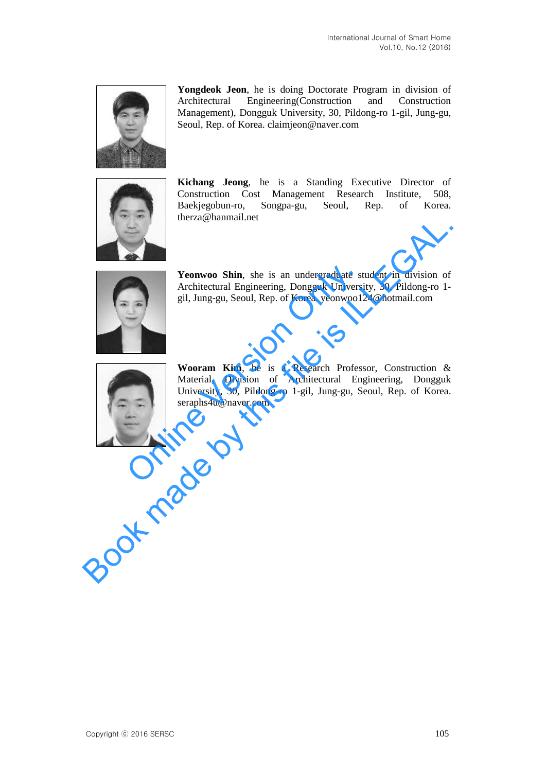

**Yongdeok Jeon**, he is doing Doctorate Program in division of Architectural Engineering(Construction and Construction Management), Dongguk University, 30, Pildong-ro 1-gil, Jung-gu, Seoul, Rep. of Korea. claimjeon@naver.com



**Kichang Jeong**, he is a Standing Executive Director of Construction Cost Management Research Institute, 508, Baekjegobun-ro, Songpa-gu, Seoul, Rep. of Korea. therza@hanmail.net



Yeonwoo Shin, she is an undergraduate student in division of Architectural Engineering, Dongguk University, 30, Pildong-ro 1 gil, Jung-gu, Seoul, Rep. of Korea. yeonwoo124@hotmail.com



**Wooram Kim**, he is a Research Professor, Construction & Material, Division of Architectural Engineering, Dongguk University, 30, Pildong-ro 1-gil, Jung-gu, Seoul, Rep. of Korea. seraphs4u@naver.com Yeonwoo Shin, she is an undergraduate st<br>Architectural Engineering, Dongguk Universi<br>gil, Jung-gu, Seoul, Rep. of Korea. yeonwool?<br>Wooram Kim, he is a Research Profess<br>Material, Division of Architectural Eng<br>University, 30 Wentwoo Shin, she is an undergraduate student in division of<br>Architectural Engineering, Dongguk University, 30, Pildong-ro 1-<br>gil, Jung-gu, Scoul, Rep. of Korea, yeonwood 24@hotmail.com<br>Wooram Kim, he is a Research Profess